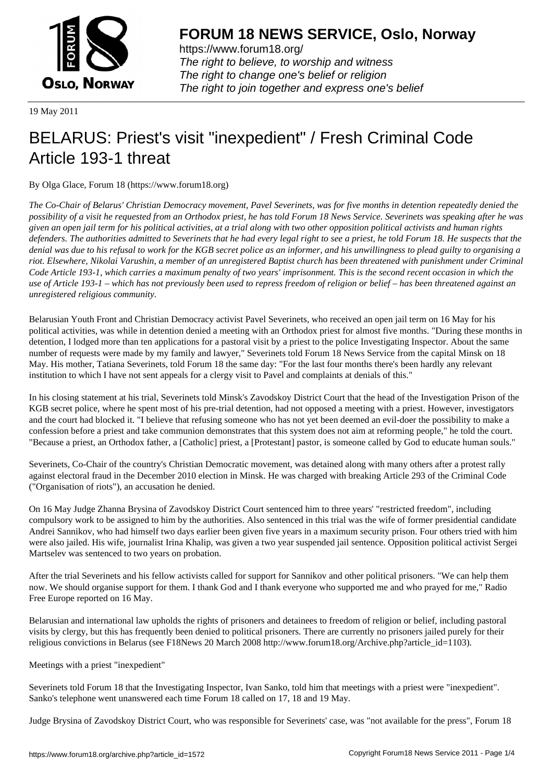

https://www.forum18.org/ The right to believe, to worship and witness The right to change one's belief or religion [The right to join together a](https://www.forum18.org/)nd express one's belief

19 May 2011

## [BELARUS: Prie](https://www.forum18.org)st's visit "inexpedient" / Fresh Criminal Code Article 193-1 threat

By Olga Glace, Forum 18 (https://www.forum18.org)

*The Co-Chair of Belarus' Christian Democracy movement, Pavel Severinets, was for five months in detention repeatedly denied the possibility of a visit he requested from an Orthodox priest, he has told Forum 18 News Service. Severinets was speaking after he was given an open jail term for his political activities, at a trial along with two other opposition political activists and human rights defenders. The authorities admitted to Severinets that he had every legal right to see a priest, he told Forum 18. He suspects that the denial was due to his refusal to work for the KGB secret police as an informer, and his unwillingness to plead guilty to organising a riot. Elsewhere, Nikolai Varushin, a member of an unregistered Baptist church has been threatened with punishment under Criminal Code Article 193-1, which carries a maximum penalty of two years' imprisonment. This is the second recent occasion in which the use of Article 193-1 – which has not previously been used to repress freedom of religion or belief – has been threatened against an unregistered religious community.*

Belarusian Youth Front and Christian Democracy activist Pavel Severinets, who received an open jail term on 16 May for his political activities, was while in detention denied a meeting with an Orthodox priest for almost five months. "During these months in detention, I lodged more than ten applications for a pastoral visit by a priest to the police Investigating Inspector. About the same number of requests were made by my family and lawyer," Severinets told Forum 18 News Service from the capital Minsk on 18 May. His mother, Tatiana Severinets, told Forum 18 the same day: "For the last four months there's been hardly any relevant institution to which I have not sent appeals for a clergy visit to Pavel and complaints at denials of this."

In his closing statement at his trial, Severinets told Minsk's Zavodskoy District Court that the head of the Investigation Prison of the KGB secret police, where he spent most of his pre-trial detention, had not opposed a meeting with a priest. However, investigators and the court had blocked it. "I believe that refusing someone who has not yet been deemed an evil-doer the possibility to make a confession before a priest and take communion demonstrates that this system does not aim at reforming people," he told the court. "Because a priest, an Orthodox father, a [Catholic] priest, a [Protestant] pastor, is someone called by God to educate human souls."

Severinets, Co-Chair of the country's Christian Democratic movement, was detained along with many others after a protest rally against electoral fraud in the December 2010 election in Minsk. He was charged with breaking Article 293 of the Criminal Code ("Organisation of riots"), an accusation he denied.

On 16 May Judge Zhanna Brysina of Zavodskoy District Court sentenced him to three years' "restricted freedom", including compulsory work to be assigned to him by the authorities. Also sentenced in this trial was the wife of former presidential candidate Andrei Sannikov, who had himself two days earlier been given five years in a maximum security prison. Four others tried with him were also jailed. His wife, journalist Irina Khalip, was given a two year suspended jail sentence. Opposition political activist Sergei Martselev was sentenced to two years on probation.

After the trial Severinets and his fellow activists called for support for Sannikov and other political prisoners. "We can help them now. We should organise support for them. I thank God and I thank everyone who supported me and who prayed for me," Radio Free Europe reported on 16 May.

Belarusian and international law upholds the rights of prisoners and detainees to freedom of religion or belief, including pastoral visits by clergy, but this has frequently been denied to political prisoners. There are currently no prisoners jailed purely for their religious convictions in Belarus (see F18News 20 March 2008 http://www.forum18.org/Archive.php?article\_id=1103).

Meetings with a priest "inexpedient"

Severinets told Forum 18 that the Investigating Inspector, Ivan Sanko, told him that meetings with a priest were "inexpedient". Sanko's telephone went unanswered each time Forum 18 called on 17, 18 and 19 May.

Judge Brysina of Zavodskoy District Court, who was responsible for Severinets' case, was "not available for the press", Forum 18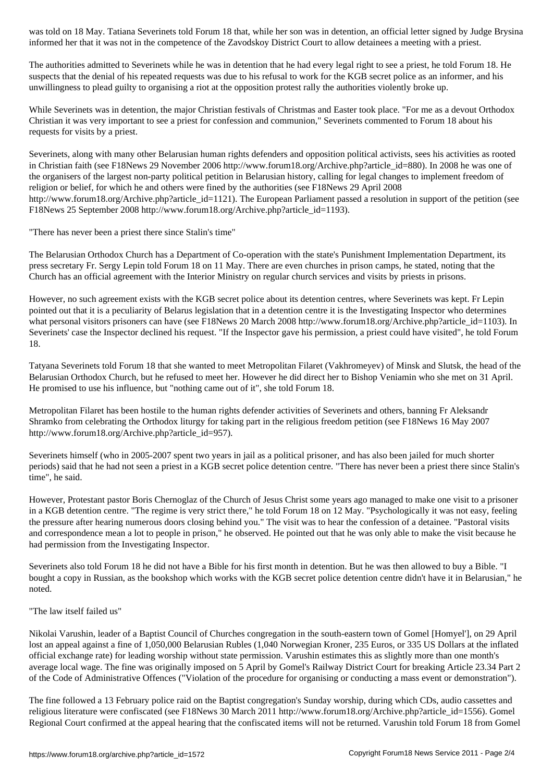The authorities admitted to Severinets while he was in detention that he had every legal right to see a priest, he told Forum 18. He suspects that the denial of his repeated requests was due to his refusal to work for the KGB secret police as an informer, and his unwillingness to plead guilty to organising a riot at the opposition protest rally the authorities violently broke up.

informed her that it was not in the competence of the Zavodskoy District Court to allow detainees a meeting with a priest.

While Severinets was in detention, the major Christian festivals of Christmas and Easter took place. "For me as a devout Orthodox Christian it was very important to see a priest for confession and communion," Severinets commented to Forum 18 about his requests for visits by a priest.

Severinets, along with many other Belarusian human rights defenders and opposition political activists, sees his activities as rooted in Christian faith (see F18News 29 November 2006 http://www.forum18.org/Archive.php?article\_id=880). In 2008 he was one of the organisers of the largest non-party political petition in Belarusian history, calling for legal changes to implement freedom of religion or belief, for which he and others were fined by the authorities (see F18News 29 April 2008 http://www.forum18.org/Archive.php?article\_id=1121). The European Parliament passed a resolution in support of the petition (see F18News 25 September 2008 http://www.forum18.org/Archive.php?article\_id=1193).

"There has never been a priest there since Stalin's time"

The Belarusian Orthodox Church has a Department of Co-operation with the state's Punishment Implementation Department, its press secretary Fr. Sergy Lepin told Forum 18 on 11 May. There are even churches in prison camps, he stated, noting that the Church has an official agreement with the Interior Ministry on regular church services and visits by priests in prisons.

However, no such agreement exists with the KGB secret police about its detention centres, where Severinets was kept. Fr Lepin pointed out that it is a peculiarity of Belarus legislation that in a detention centre it is the Investigating Inspector who determines what personal visitors prisoners can have (see F18News 20 March 2008 http://www.forum18.org/Archive.php?article\_id=1103). In Severinets' case the Inspector declined his request. "If the Inspector gave his permission, a priest could have visited", he told Forum 18.

Tatyana Severinets told Forum 18 that she wanted to meet Metropolitan Filaret (Vakhromeyev) of Minsk and Slutsk, the head of the Belarusian Orthodox Church, but he refused to meet her. However he did direct her to Bishop Veniamin who she met on 31 April. He promised to use his influence, but "nothing came out of it", she told Forum 18.

Metropolitan Filaret has been hostile to the human rights defender activities of Severinets and others, banning Fr Aleksandr Shramko from celebrating the Orthodox liturgy for taking part in the religious freedom petition (see F18News 16 May 2007 http://www.forum18.org/Archive.php?article\_id=957).

Severinets himself (who in 2005-2007 spent two years in jail as a political prisoner, and has also been jailed for much shorter periods) said that he had not seen a priest in a KGB secret police detention centre. "There has never been a priest there since Stalin's time", he said.

However, Protestant pastor Boris Chernoglaz of the Church of Jesus Christ some years ago managed to make one visit to a prisoner in a KGB detention centre. "The regime is very strict there," he told Forum 18 on 12 May. "Psychologically it was not easy, feeling the pressure after hearing numerous doors closing behind you." The visit was to hear the confession of a detainee. "Pastoral visits and correspondence mean a lot to people in prison," he observed. He pointed out that he was only able to make the visit because he had permission from the Investigating Inspector.

Severinets also told Forum 18 he did not have a Bible for his first month in detention. But he was then allowed to buy a Bible. "I bought a copy in Russian, as the bookshop which works with the KGB secret police detention centre didn't have it in Belarusian," he noted.

## "The law itself failed us"

Nikolai Varushin, leader of a Baptist Council of Churches congregation in the south-eastern town of Gomel [Homyel'], on 29 April lost an appeal against a fine of 1,050,000 Belarusian Rubles (1,040 Norwegian Kroner, 235 Euros, or 335 US Dollars at the inflated official exchange rate) for leading worship without state permission. Varushin estimates this as slightly more than one month's average local wage. The fine was originally imposed on 5 April by Gomel's Railway District Court for breaking Article 23.34 Part 2 of the Code of Administrative Offences ("Violation of the procedure for organising or conducting a mass event or demonstration").

The fine followed a 13 February police raid on the Baptist congregation's Sunday worship, during which CDs, audio cassettes and religious literature were confiscated (see F18News 30 March 2011 http://www.forum18.org/Archive.php?article\_id=1556). Gomel Regional Court confirmed at the appeal hearing that the confiscated items will not be returned. Varushin told Forum 18 from Gomel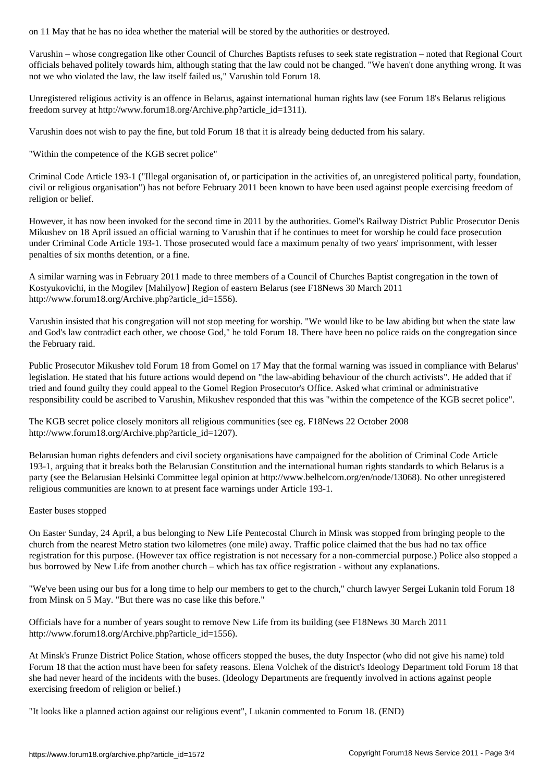Varushin – whose congregation like other Council of Churches Baptists refuses to seek state registration – noted that Regional Court officials behaved politely towards him, although stating that the law could not be changed. "We haven't done anything wrong. It was not we who violated the law, the law itself failed us," Varushin told Forum 18.

Unregistered religious activity is an offence in Belarus, against international human rights law (see Forum 18's Belarus religious freedom survey at http://www.forum18.org/Archive.php?article\_id=1311).

Varushin does not wish to pay the fine, but told Forum 18 that it is already being deducted from his salary.

"Within the competence of the KGB secret police"

Criminal Code Article 193-1 ("Illegal organisation of, or participation in the activities of, an unregistered political party, foundation, civil or religious organisation") has not before February 2011 been known to have been used against people exercising freedom of religion or belief.

However, it has now been invoked for the second time in 2011 by the authorities. Gomel's Railway District Public Prosecutor Denis Mikushev on 18 April issued an official warning to Varushin that if he continues to meet for worship he could face prosecution under Criminal Code Article 193-1. Those prosecuted would face a maximum penalty of two years' imprisonment, with lesser penalties of six months detention, or a fine.

A similar warning was in February 2011 made to three members of a Council of Churches Baptist congregation in the town of Kostyukovichi, in the Mogilev [Mahilyow] Region of eastern Belarus (see F18News 30 March 2011 http://www.forum18.org/Archive.php?article\_id=1556).

Varushin insisted that his congregation will not stop meeting for worship. "We would like to be law abiding but when the state law and God's law contradict each other, we choose God," he told Forum 18. There have been no police raids on the congregation since the February raid.

Public Prosecutor Mikushev told Forum 18 from Gomel on 17 May that the formal warning was issued in compliance with Belarus' legislation. He stated that his future actions would depend on "the law-abiding behaviour of the church activists". He added that if tried and found guilty they could appeal to the Gomel Region Prosecutor's Office. Asked what criminal or administrative responsibility could be ascribed to Varushin, Mikushev responded that this was "within the competence of the KGB secret police".

The KGB secret police closely monitors all religious communities (see eg. F18News 22 October 2008 http://www.forum18.org/Archive.php?article\_id=1207).

Belarusian human rights defenders and civil society organisations have campaigned for the abolition of Criminal Code Article 193-1, arguing that it breaks both the Belarusian Constitution and the international human rights standards to which Belarus is a party (see the Belarusian Helsinki Committee legal opinion at http://www.belhelcom.org/en/node/13068). No other unregistered religious communities are known to at present face warnings under Article 193-1.

## Easter buses stopped

On Easter Sunday, 24 April, a bus belonging to New Life Pentecostal Church in Minsk was stopped from bringing people to the church from the nearest Metro station two kilometres (one mile) away. Traffic police claimed that the bus had no tax office registration for this purpose. (However tax office registration is not necessary for a non-commercial purpose.) Police also stopped a bus borrowed by New Life from another church – which has tax office registration - without any explanations.

"We've been using our bus for a long time to help our members to get to the church," church lawyer Sergei Lukanin told Forum 18 from Minsk on 5 May. "But there was no case like this before."

Officials have for a number of years sought to remove New Life from its building (see F18News 30 March 2011 http://www.forum18.org/Archive.php?article\_id=1556).

At Minsk's Frunze District Police Station, whose officers stopped the buses, the duty Inspector (who did not give his name) told Forum 18 that the action must have been for safety reasons. Elena Volchek of the district's Ideology Department told Forum 18 that she had never heard of the incidents with the buses. (Ideology Departments are frequently involved in actions against people exercising freedom of religion or belief.)

"It looks like a planned action against our religious event", Lukanin commented to Forum 18. (END)